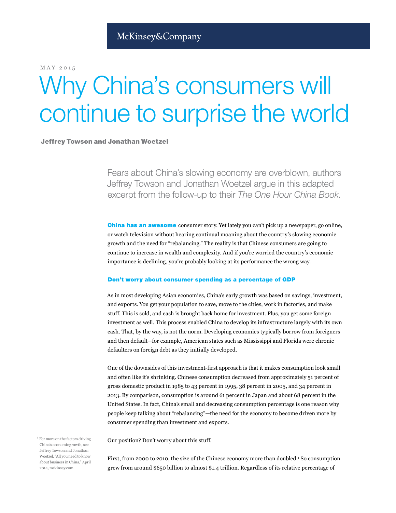MAY)2015

# Why China's consumers will continue to surprise the world

# Jeffrey Towson and Jonathan Woetzel

Fears about China's slowing economy are overblown, authors Jeffrey Towson and Jonathan Woetzel argue in this adapted excerpt from the follow-up to their The One Hour China Book.

**China has an awesome** consumer story. Yet lately you can't pick up a newspaper, go online, or watch television without hearing continual moaning about the country's slowing economic growth and the need for "rebalancing." The reality is that Chinese consumers are going to continue to increase in wealth and complexity. And if you're worried the country's economic importance is declining, you're probably looking at its performance the wrong way.

#### Don't worry about consumer spending as a percentage of GDP

As in most developing Asian economies, China's early growth was based on savings, investment, and exports. You get your population to save, move to the cities, work in factories, and make stuff. This is sold, and cash is brought back home for investment. Plus, you get some foreign investment as well. This process enabled China to develop its infrastructure largely with its own cash. That, by the way, is not the norm. Developing economies typically borrow from foreigners and then default—for example, American states such as Mississippi and Florida were chronic defaulters on foreign debt as they initially developed.

One of the downsides of this investment-first approach is that it makes consumption look small and often like it's shrinking. Chinese consumption decreased from approximately 51 percent of gross domestic product in  $1985$  to  $43$  percent in  $1995$ ,  $38$  percent in 2005, and  $34$  percent in 2013. By comparison, consumption is around 61 percent in Japan and about 68 percent in the United States. In fact, China's small and decreasing consumption percentage is one reason why people keep talking about "rebalancing"—the need for the economy to become driven more by consumer spending than investment and exports.

Our position? Don't worry about this stuff.

First, from 2000 to 2010, the size of the Chinese economy more than doubled.<sup>1</sup> So consumption grew from around \$650 billion to almost \$1.4 trillion. Regardless of its relative percentage of

 $1$  For more on the factors driving China's economic growth, see Jeffrey Towson and Jonathan Woetzel, "All you need to know about business in China," April 2014, mckinsey.com.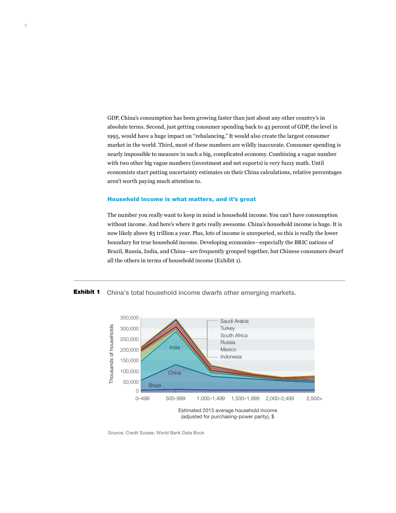GDP, China's consumption has been growing faster than just about any other country's in absolute terms. Second, just getting consumer spending back to 43 percent of GDP, the level in 1995, would have a huge impact on "rebalancing." It would also create the largest consumer market in the world. Third, most of these numbers are wildly inaccurate. Consumer spending is nearly impossible to measure in such a big, complicated economy. Combining a vague number with two other big vague numbers (investment and net exports) is very fuzzy math. Until economists start putting uncertainty estimates on their China calculations, relative percentages aren't worth paying much attention to.

## Household income is what matters, and it's great

The number you) really want to keep in mind is household income. You can't have consumption without income. And here's where it gets really awesome. China's household income is huge. It is now likely above \$5 trillion a year. Plus, lots of income is unreported, so this is really the lower boundary for true household income. Developing economies—especially the BRIC nations of Brazil, Russia, India, and China—are frequently grouped together, but Chinese consumers dwarf all the others in terms of household income (Exhibit 1).

Exhibit 1 China's total household income dwarfs other emerging markets.



Source: Credit Suisse; World Bank Data Book

Exhibit 1 of 2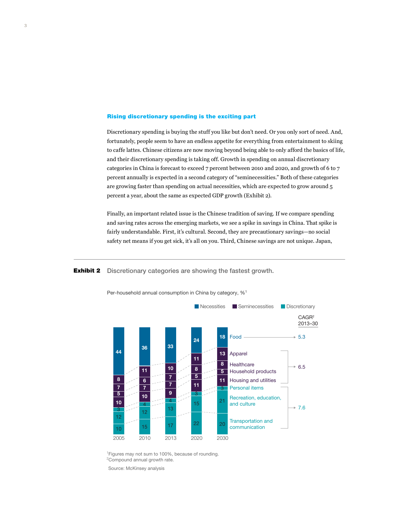### Rising discretionary spending is the exciting part

Discretionary spending is buying the stuff you like but don't need. Or you only sort of need. And, fortunately, people seem to have an endless appetite for everything from entertainment to skiing to)caffe)lattes. Chinese citizens are now moving beyond being able to only afford the basics of life, and their discretionary spending is taking off. Growth in spending on annual discretionary categories in China is forecast to exceed  $7$  percent between 2010 and 2020, and growth of 6 to  $7$ percent annually is expected in a second category of "seminecessities." Both of these categories are growing faster than spending on actual necessities, which are expected to grow around  $5$ percent a year, about the same as expected GDP growth (Exhibit 2).

Finally, an important related issue is the Chinese tradition of saving. If we compare spending and saving rates across the emerging markets, we see a spike in savings in China. That spike is fairly understandable. First, it's cultural. Second, they are precautionary savings—no social safety net means if you get sick, it's all on you. Third, Chinese savings are not unique. Japan,

**Exhibit 2** Discretionary categories are showing the fastest growth.

Exhibit 2 of 2



Per-household annual consumption in China by category, %1

<sup>1</sup> Figures may not sum to 100%, because of rounding. <sup>2</sup>Compound annual growth rate.

Source: McKinsey analysis